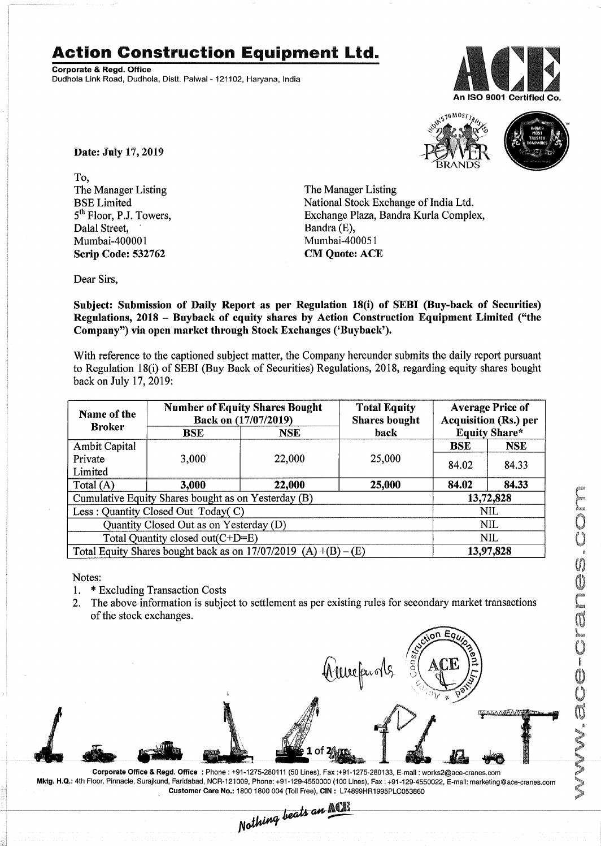## Action Construction Equipment Ltd.

Corporate & Regd. Office Dudhola Link Road, Dudhola, Distt. Palwal - 121102, Haryana, India





Date: July 17,2019

To, The Manager Listing BSE Limited 5<sup>th</sup> Floor, P.J. Towers. Dalal Street. Mumbai-400001 Scrip Code: 532762

The Manager Listing National Stock Exchange of India Ltd. Exchange Plaza, Bandra Kurla Complex, Bandra (E), Mumbai-4000S1 CM Quote: ACE

Dear Sirs,

Subject: Submission of Daily Report as per Regulation 18(i) of SEBI (Buy-back of Securities) Regulations, 2018 - Buyback of equity shares by Action Construction Equipment Limited ("the Company") via open market through Stock Exchanges ('Buyback').

With reference to the captioned subject matter, the Company hereunder submits the daily report pursuant to Regulation 18(i) of SEBI (Buy Back of Securities) Regulations, 2018, regarding equity shares bought back on July 17,2019:

| Name of the<br><b>Broker</b>                                              | <b>Number of Equity Shares Bought</b><br>Back on (17/07/2019) |            | <b>Total Equity</b><br><b>Shares bought</b> | <b>Average Price of</b><br><b>Acquisition (Rs.) per</b> |            |  |
|---------------------------------------------------------------------------|---------------------------------------------------------------|------------|---------------------------------------------|---------------------------------------------------------|------------|--|
|                                                                           | BSE                                                           | <b>NSE</b> | back                                        | <b>Equity Share*</b>                                    |            |  |
| <b>Ambit Capital</b>                                                      |                                                               |            |                                             | <b>BSE</b>                                              | <b>NSE</b> |  |
| Private                                                                   | 3,000                                                         | 22,000     | 25,000                                      | 84.02                                                   | 84.33      |  |
| Limited                                                                   |                                                               |            |                                             |                                                         |            |  |
| Total $(A)$                                                               | 3,000                                                         | 22,000     | 25,000                                      | 84.02                                                   | 84.33      |  |
| Cumulative Equity Shares bought as on Yesterday (B)                       |                                                               |            |                                             |                                                         | 13,72,828  |  |
| Less: Quantity Closed Out Today(C)                                        |                                                               |            |                                             | NIL                                                     |            |  |
| Quantity Closed Out as on Yesterday (D)                                   |                                                               |            |                                             | <b>NIL</b>                                              |            |  |
| Total Quantity closed out(C+D=E)                                          |                                                               |            |                                             | NIL                                                     |            |  |
| Total Equity Shares bought back as on $17/07/2019$ (A) $\pm$ (B) –<br>(E) |                                                               |            |                                             | 13,97,828                                               |            |  |

Notes:

- 1. \* Excluding Transaction Costs<br>2. The above information is subje
- 2. The above information is subject to settlement as per existing rules for secondary market transactions of the stock exchanges.



Corporate Office & Regd. Office: Phone: +91-1275-280111 (50 Lines), Fax:+91-1275-280133, E-mail: works2@ace-cranes.com Mktg. H.Q.: 4th Floor, Pinnacle, Surajkund, Faridabad, NCR-121009, Phone: +91-129-4550000 (100 Lines), Fax: +91-129-4550022, E-mail: marketing@ace-cranes.com Customer Care No.: 18001800004 (Toll Free), CIN: L74899HR1995PLC053860